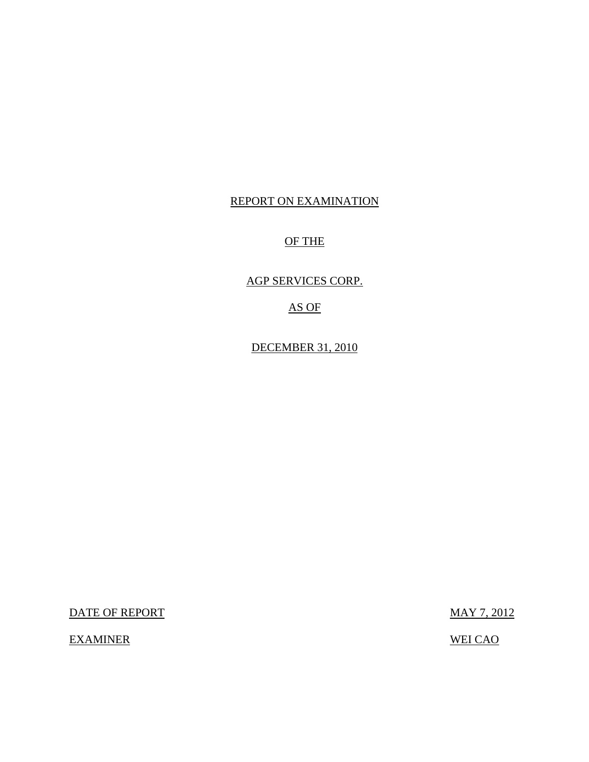### REPORT ON EXAMINATION

### OF THE

AGP SERVICES CORP.

AS OF

DECEMBER 31, 2010

DATE OF REPORT MAY 7, 2012

EXAMINER WEI CAO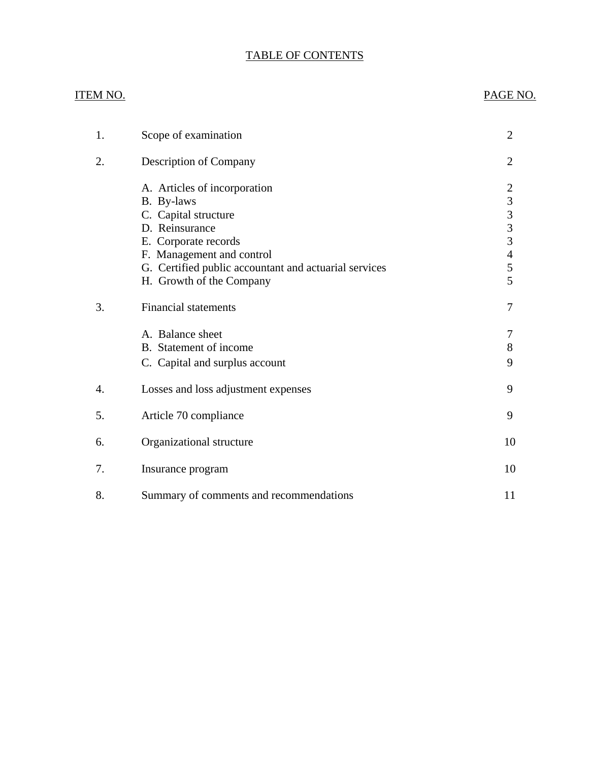### TABLE OF CONTENTS

### ITEM NO. PAGE NO.

| 1. | Scope of examination                                                                                                                                                                                                           | 2                                                                                                          |
|----|--------------------------------------------------------------------------------------------------------------------------------------------------------------------------------------------------------------------------------|------------------------------------------------------------------------------------------------------------|
| 2. | Description of Company                                                                                                                                                                                                         | 2                                                                                                          |
|    | A. Articles of incorporation<br>B. By-laws<br>C. Capital structure<br>D. Reinsurance<br>E. Corporate records<br>F. Management and control<br>G. Certified public accountant and actuarial services<br>H. Growth of the Company | $\overline{2}$<br>$\begin{array}{c} 3 \\ 3 \\ 3 \end{array}$<br>$\overline{3}$<br>$\overline{4}$<br>5<br>5 |
| 3. | <b>Financial statements</b>                                                                                                                                                                                                    | 7                                                                                                          |
|    | A. Balance sheet<br>B. Statement of income<br>C. Capital and surplus account                                                                                                                                                   | 7<br>8<br>9                                                                                                |
| 4. | Losses and loss adjustment expenses                                                                                                                                                                                            | 9                                                                                                          |
| 5. | Article 70 compliance                                                                                                                                                                                                          | 9                                                                                                          |
| 6. | Organizational structure                                                                                                                                                                                                       | 10                                                                                                         |
| 7. | Insurance program                                                                                                                                                                                                              | 10                                                                                                         |
| 8. | Summary of comments and recommendations                                                                                                                                                                                        | 11                                                                                                         |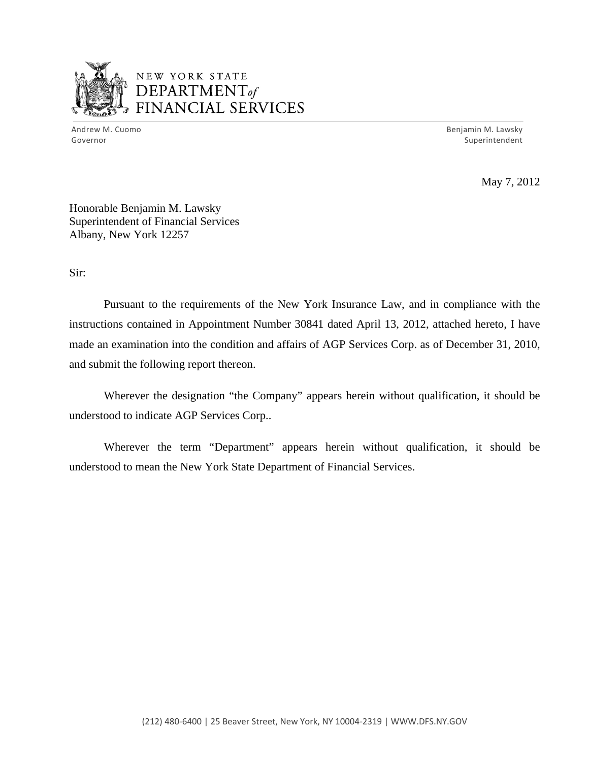

## NEW YORK STATE DEPARTMENTof *~,........,,* FINANCIAL SERVICES

Andrew M. Cuomo **Benjamin M. Lawsky** Governor Superintendent Superintendent Superintendent Superintendent Superintendent Superintendent Superintendent

May 7, 2012

Honorable Benjamin M. Lawsky Superintendent of Financial Services Albany, New York 12257

Sir:

Pursuant to the requirements of the New York Insurance Law, and in compliance with the instructions contained in Appointment Number 30841 dated April 13, 2012, attached hereto, I have made an examination into the condition and affairs of AGP Services Corp. as of December 31, 2010, and submit the following report thereon.

Wherever the designation "the Company" appears herein without qualification, it should be understood to indicate AGP Services Corp..

Wherever the term "Department" appears herein without qualification, it should be understood to mean the New York State Department of Financial Services.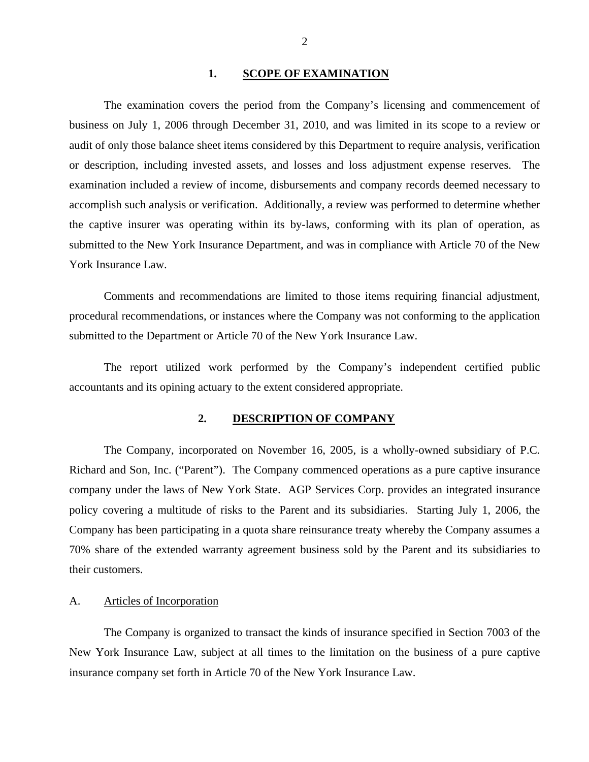#### 1. SCOPE OF EXAMINATION

<span id="page-3-0"></span>The examination covers the period from the Company's licensing and commencement of business on July 1, 2006 through December 31, 2010, and was limited in its scope to a review or audit of only those balance sheet items considered by this Department to require analysis, verification or description, including invested assets, and losses and loss adjustment expense reserves. The examination included a review of income, disbursements and company records deemed necessary to accomplish such analysis or verification. Additionally, a review was performed to determine whether the captive insurer was operating within its by-laws, conforming with its plan of operation, as submitted to the New York Insurance Department, and was in compliance with Article 70 of the New York Insurance Law.

Comments and recommendations are limited to those items requiring financial adjustment, procedural recommendations, or instances where the Company was not conforming to the application submitted to the Department or Article 70 of the New York Insurance Law.

The report utilized work performed by the Company's independent certified public accountants and its opining actuary to the extent considered appropriate.

### **2. DESCRIPTION OF COMPANY**

The Company, incorporated on November 16, 2005, is a wholly-owned subsidiary of P.C. Richard and Son, Inc. ("Parent"). The Company commenced operations as a pure captive insurance company under the laws of New York State. AGP Services Corp. provides an integrated insurance policy covering a multitude of risks to the Parent and its subsidiaries. Starting July 1, 2006, the Company has been participating in a quota share reinsurance treaty whereby the Company assumes a 70% share of the extended warranty agreement business sold by the Parent and its subsidiaries to their customers.

#### A. Articles of Incorporation

The Company is organized to transact the kinds of insurance specified in Section 7003 of the New York Insurance Law, subject at all times to the limitation on the business of a pure captive insurance company set forth in Article 70 of the New York Insurance Law.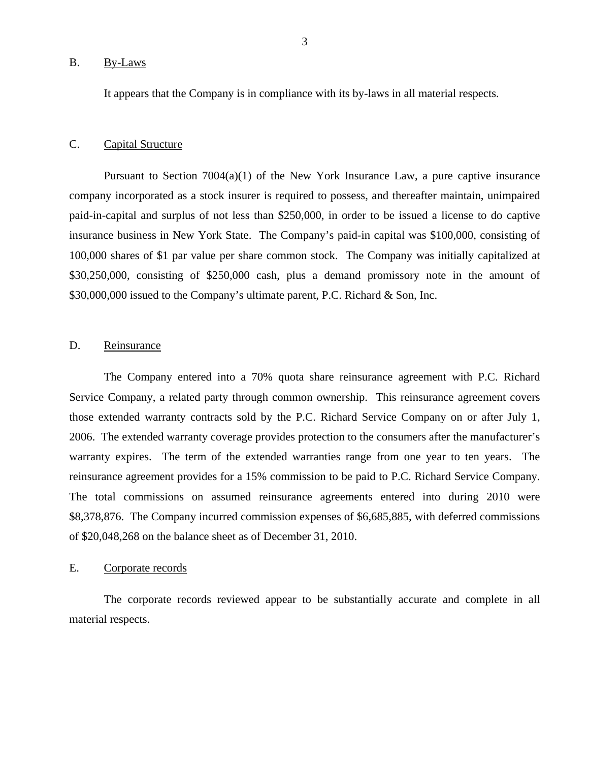#### <span id="page-4-0"></span>B. By-Laws

It appears that the Company is in compliance with its by-laws in all material respects.

#### C. Capital Structure

Pursuant to Section  $7004(a)(1)$  of the New York Insurance Law, a pure captive insurance company incorporated as a stock insurer is required to possess, and thereafter maintain, unimpaired paid-in-capital and surplus of not less than \$250,000, in order to be issued a license to do captive insurance business in New York State. The Company's paid-in capital was \$100,000, consisting of 100,000 shares of \$1 par value per share common stock. The Company was initially capitalized at \$30,250,000, consisting of \$250,000 cash, plus a demand promissory note in the amount of \$30,000,000 issued to the Company's ultimate parent, P.C. Richard & Son, Inc.

#### D. Reinsurance

The Company entered into a 70% quota share reinsurance agreement with P.C. Richard Service Company, a related party through common ownership. This reinsurance agreement covers those extended warranty contracts sold by the P.C. Richard Service Company on or after July 1, 2006. The extended warranty coverage provides protection to the consumers after the manufacturer's warranty expires. The term of the extended warranties range from one year to ten years. The reinsurance agreement provides for a 15% commission to be paid to P.C. Richard Service Company. The total commissions on assumed reinsurance agreements entered into during 2010 were \$8,378,876. The Company incurred commission expenses of \$6,685,885, with deferred commissions of \$20,048,268 on the balance sheet as of December 31, 2010.

#### E. Corporate records

The corporate records reviewed appear to be substantially accurate and complete in all material respects.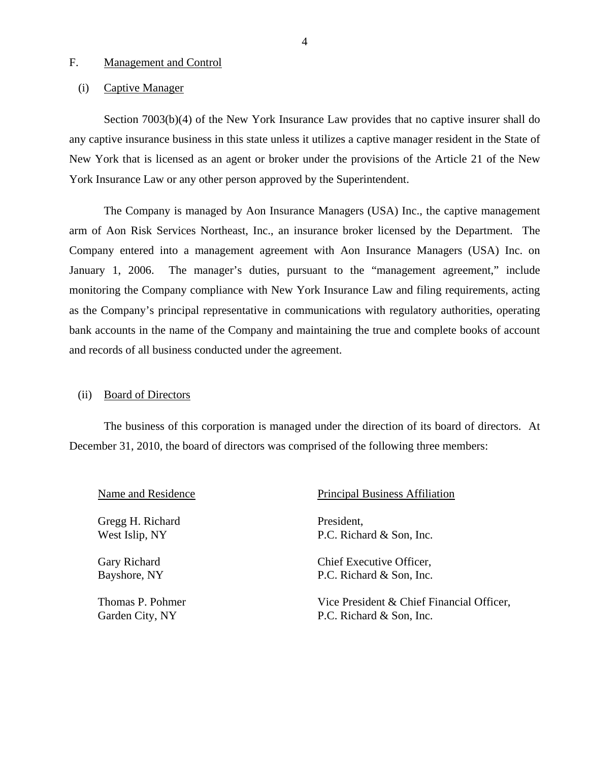#### <span id="page-5-0"></span>F. Management and Control

#### (i) Captive Manager

Section 7003(b)(4) of the New York Insurance Law provides that no captive insurer shall do any captive insurance business in this state unless it utilizes a captive manager resident in the State of New York that is licensed as an agent or broker under the provisions of the Article 21 of the New York Insurance Law or any other person approved by the Superintendent.

The Company is managed by Aon Insurance Managers (USA) Inc., the captive management arm of Aon Risk Services Northeast, Inc., an insurance broker licensed by the Department. The Company entered into a management agreement with Aon Insurance Managers (USA) Inc. on January 1, 2006. The manager's duties, pursuant to the "management agreement," include monitoring the Company compliance with New York Insurance Law and filing requirements, acting as the Company's principal representative in communications with regulatory authorities, operating bank accounts in the name of the Company and maintaining the true and complete books of account and records of all business conducted under the agreement.

#### (ii) Board of Directors

The business of this corporation is managed under the direction of its board of directors. At December 31, 2010, the board of directors was comprised of the following three members:

Gregg H. Richard President,

Name and Residence Principal Business Affiliation

West Islip, NY P.C. Richard & Son, Inc.

Gary Richard Chief Executive Officer, Bayshore, NY P.C. Richard & Son, Inc.

Thomas P. Pohmer Vice President & Chief Financial Officer, Garden City, NY P.C. Richard & Son, Inc.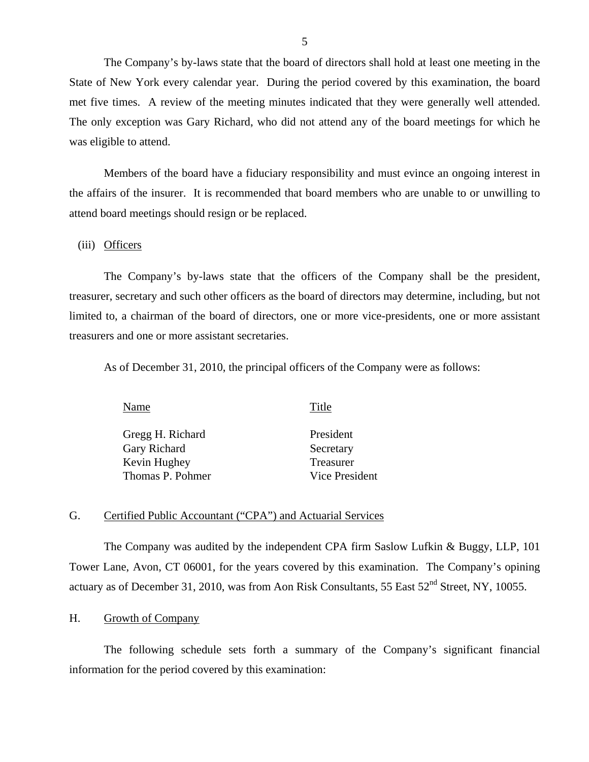The Company's by-laws state that the board of directors shall hold at least one meeting in the State of New York every calendar year. During the period covered by this examination, the board met five times. A review of the meeting minutes indicated that they were generally well attended. The only exception was Gary Richard, who did not attend any of the board meetings for which he was eligible to attend.

Members of the board have a fiduciary responsibility and must evince an ongoing interest in the affairs of the insurer. It is recommended that board members who are unable to or unwilling to attend board meetings should resign or be replaced.

(iii) Officers

The Company's by-laws state that the officers of the Company shall be the president, treasurer, secretary and such other officers as the board of directors may determine, including, but not limited to, a chairman of the board of directors, one or more vice-presidents, one or more assistant treasurers and one or more assistant secretaries.

As of December 31, 2010, the principal officers of the Company were as follows:

Gregg H. Richard Gary Richard Kevin Hughey Thomas P. Pohmer

Name Title

President Secretary Treasurer Vice President

#### G. Certified Public Accountant ("CPA") and Actuarial Services

The Company was audited by the independent CPA firm Saslow Lufkin & Buggy, LLP, 101 Tower Lane, Avon, CT 06001, for the years covered by this examination. The Company's opining actuary as of December 31, 2010, was from Aon Risk Consultants, 55 East 52<sup>nd</sup> Street, NY, 10055.

#### H. Growth of Company

The following schedule sets forth a summary of the Company's significant financial information for the period covered by this examination: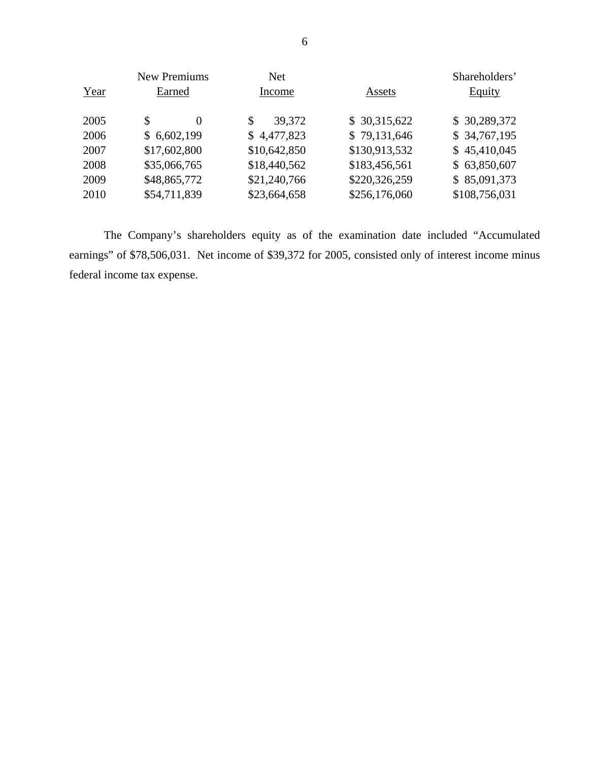|      | <b>New Premiums</b> | <b>Net</b>   |               | Shareholders' |
|------|---------------------|--------------|---------------|---------------|
| Year | Earned              | Income       | Assets        | Equity        |
| 2005 | $\Omega$            | 39,372<br>\$ | \$30,315,622  | \$30,289,372  |
| 2006 | \$6,602,199         | \$4,477,823  | \$79,131,646  | \$34,767,195  |
| 2007 | \$17,602,800        | \$10,642,850 | \$130,913,532 | \$45,410,045  |
| 2008 | \$35,066,765        | \$18,440,562 | \$183,456,561 | \$63,850,607  |
| 2009 | \$48,865,772        | \$21,240,766 | \$220,326,259 | \$85,091,373  |
| 2010 | \$54,711,839        | \$23,664,658 | \$256,176,060 | \$108,756,031 |

The Company's shareholders equity as of the examination date included "Accumulated earnings" of \$78,506,031. Net income of \$39,372 for 2005, consisted only of interest income minus federal income tax expense.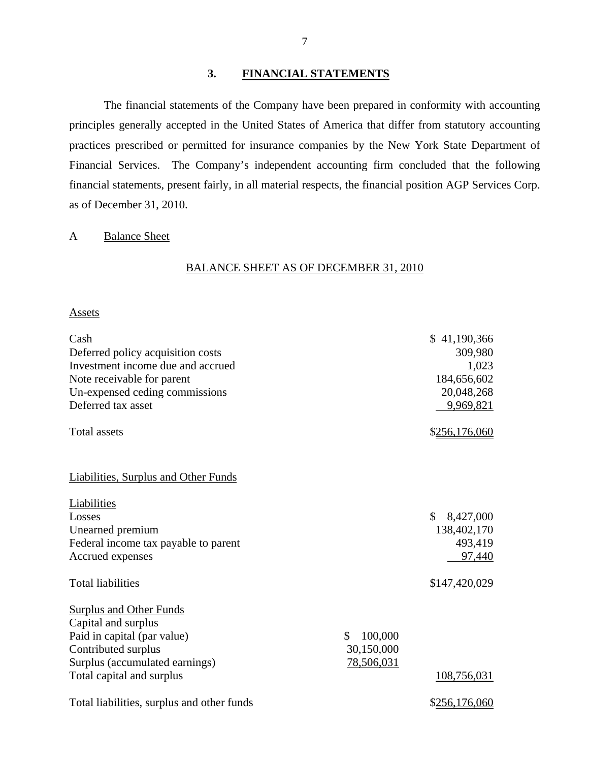#### **3. FINANCIAL STATEMENTS**

The financial statements of the Company have been prepared in conformity with accounting principles generally accepted in the United States of America that differ from statutory accounting practices prescribed or permitted for insurance companies by the New York State Department of Financial Services. The Company's independent accounting firm concluded that the following financial statements, present fairly, in all material respects, the financial position AGP Services Corp. as of December 31, 2010.

#### A Balance Sheet

#### BALANCE SHEET AS OF DECEMBER 31, 2010

#### Assets

| Cash<br>Deferred policy acquisition costs<br>Investment income due and accrued<br>Note receivable for parent<br>Un-expensed ceding commissions<br>Deferred tax asset<br><b>Total assets</b> |                                          | \$41,190,366<br>309,980<br>1,023<br>184,656,602<br>20,048,268<br>9,969,821<br>\$256,176,060 |
|---------------------------------------------------------------------------------------------------------------------------------------------------------------------------------------------|------------------------------------------|---------------------------------------------------------------------------------------------|
| <b>Liabilities, Surplus and Other Funds</b>                                                                                                                                                 |                                          |                                                                                             |
| Liabilities<br>Losses<br>Unearned premium<br>Federal income tax payable to parent<br>Accrued expenses                                                                                       |                                          | \$<br>8,427,000<br>138,402,170<br>493,419<br>97,440                                         |
| <b>Total liabilities</b>                                                                                                                                                                    |                                          | \$147,420,029                                                                               |
| <b>Surplus and Other Funds</b><br>Capital and surplus<br>Paid in capital (par value)<br>Contributed surplus<br>Surplus (accumulated earnings)<br>Total capital and surplus                  | 100,000<br>S<br>30,150,000<br>78,506,031 | 108,756,031                                                                                 |
| Total liabilities, surplus and other funds                                                                                                                                                  |                                          | \$256,176,060                                                                               |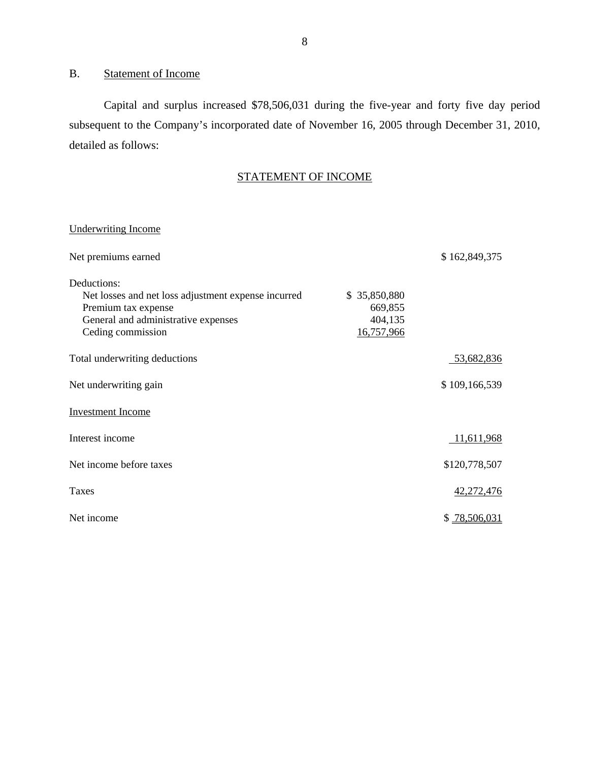### B. Statement of Income

Capital and surplus increased \$78,506,031 during the five-year and forty five day period subsequent to the Company's incorporated date of November 16, 2005 through December 31, 2010, detailed as follows:

### STATEMENT OF INCOME

### Underwriting Income

| Net premiums earned                                                                                                                                   |                                                  | \$162,849,375 |
|-------------------------------------------------------------------------------------------------------------------------------------------------------|--------------------------------------------------|---------------|
| Deductions:<br>Net losses and net loss adjustment expense incurred<br>Premium tax expense<br>General and administrative expenses<br>Ceding commission | \$35,850,880<br>669,855<br>404,135<br>16,757,966 |               |
| Total underwriting deductions                                                                                                                         |                                                  | 53,682,836    |
| Net underwriting gain                                                                                                                                 |                                                  | \$109,166,539 |
| <b>Investment Income</b>                                                                                                                              |                                                  |               |
| Interest income                                                                                                                                       |                                                  | 11,611,968    |
| Net income before taxes                                                                                                                               |                                                  | \$120,778,507 |
| <b>Taxes</b>                                                                                                                                          |                                                  | 42,272,476    |
| Net income                                                                                                                                            |                                                  | \$78,506,031  |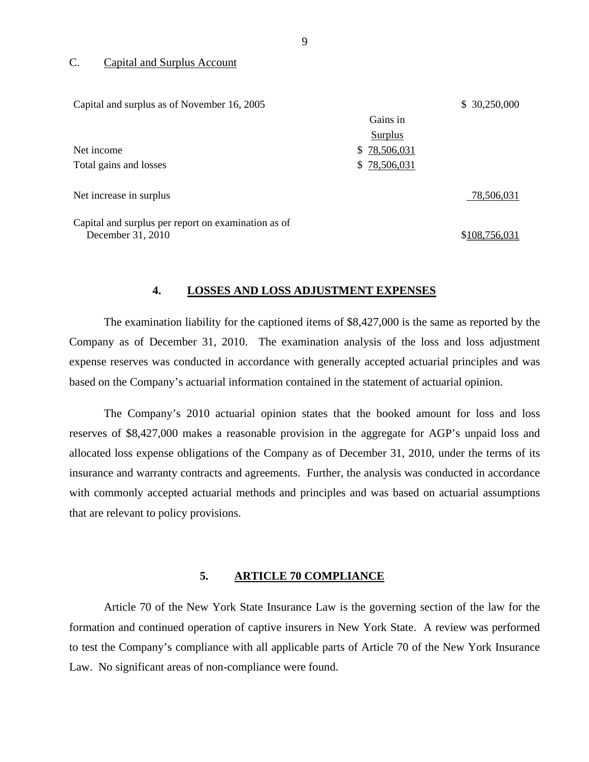#### C. Capital and Surplus Account

| Capital and surplus as of November 16, 2005         |              | \$ 30,250,000 |
|-----------------------------------------------------|--------------|---------------|
|                                                     | Gains in     |               |
|                                                     | Surplus      |               |
| Net income                                          | \$78,506,031 |               |
| Total gains and losses                              | \$78,506,031 |               |
| Net increase in surplus                             |              | 78,506,031    |
| Capital and surplus per report on examination as of |              |               |

December 31, 2010 \$108,756,031

#### **4. LOSSES AND LOSS ADJUSTMENT EXPENSES**

The examination liability for the captioned items of \$8,427,000 is the same as reported by the Company as of December 31, 2010. The examination analysis of the loss and loss adjustment expense reserves was conducted in accordance with generally accepted actuarial principles and was based on the Company's actuarial information contained in the statement of actuarial opinion.

The Company's 2010 actuarial opinion states that the booked amount for loss and loss reserves of \$8,427,000 makes a reasonable provision in the aggregate for AGP's unpaid loss and allocated loss expense obligations of the Company as of December 31, 2010, under the terms of its insurance and warranty contracts and agreements. Further, the analysis was conducted in accordance with commonly accepted actuarial methods and principles and was based on actuarial assumptions that are relevant to policy provisions.

#### **5. ARTICLE 70 COMPLIANCE**

Article 70 of the New York State Insurance Law is the governing section of the law for the formation and continued operation of captive insurers in New York State. A review was performed to test the Company's compliance with all applicable parts of Article 70 of the New York Insurance Law. No significant areas of non-compliance were found.

9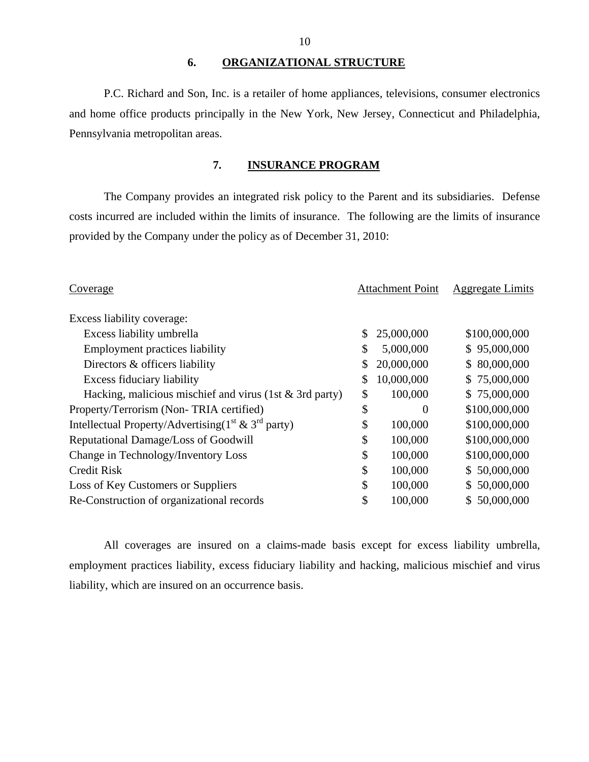#### **6. ORGANIZATIONAL STRUCTURE**

P.C. Richard and Son, Inc. is a retailer of home appliances, televisions, consumer electronics and home office products principally in the New York, New Jersey, Connecticut and Philadelphia, Pennsylvania metropolitan areas.

### **7. INSURANCE PROGRAM**

The Company provides an integrated risk policy to the Parent and its subsidiaries. Defense costs incurred are included within the limits of insurance. The following are the limits of insurance provided by the Company under the policy as of December 31, 2010:

| Coverage                                                      |    | <b>Attachment Point</b> | <b>Aggregate Limits</b> |
|---------------------------------------------------------------|----|-------------------------|-------------------------|
| Excess liability coverage:                                    |    |                         |                         |
| Excess liability umbrella                                     | \$ | 25,000,000              | \$100,000,000           |
| <b>Employment practices liability</b>                         | \$ | 5,000,000               | \$95,000,000            |
| Directors & officers liability                                | \$ | 20,000,000              | \$80,000,000            |
| <b>Excess fiduciary liability</b>                             | \$ | 10,000,000              | \$75,000,000            |
| Hacking, malicious mischief and virus (1st $&$ 3rd party)     | \$ | 100,000                 | \$75,000,000            |
| Property/Terrorism (Non-TRIA certified)                       |    | $\overline{0}$          | \$100,000,000           |
| Intellectual Property/Advertising( $1^{st}$ & $3^{rd}$ party) |    | 100,000                 | \$100,000,000           |
| Reputational Damage/Loss of Goodwill                          |    | 100,000                 | \$100,000,000           |
| Change in Technology/Inventory Loss                           |    | 100,000                 | \$100,000,000           |
| <b>Credit Risk</b>                                            | \$ | 100,000                 | \$50,000,000            |
| Loss of Key Customers or Suppliers                            |    | 100,000                 | \$50,000,000            |
| Re-Construction of organizational records                     |    | 100,000                 | \$50,000,000            |

All coverages are insured on a claims-made basis except for excess liability umbrella, employment practices liability, excess fiduciary liability and hacking, malicious mischief and virus liability, which are insured on an occurrence basis.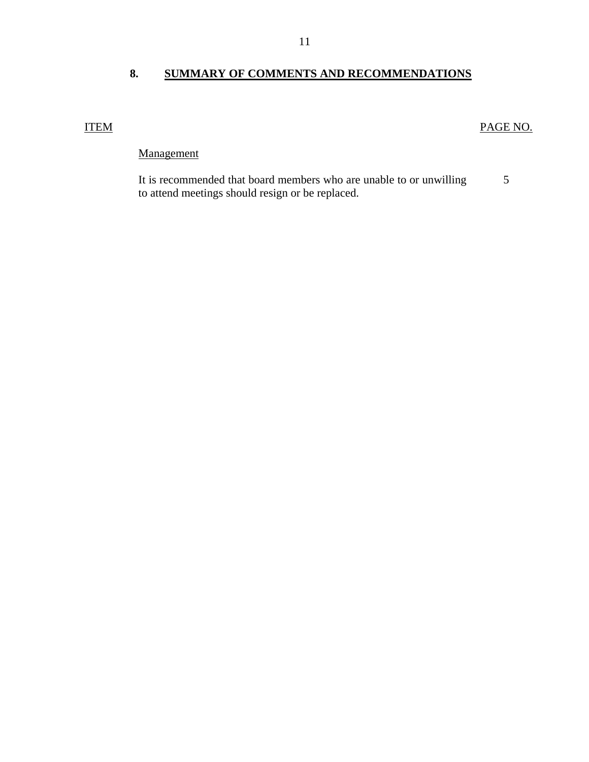### <span id="page-12-0"></span>**8. SUMMARY OF COMMENTS AND RECOMMENDATIONS**

### ITEM PAGE NO.

### Management

5 It is recommended that board members who are unable to or unwilling to attend meetings should resign or be replaced.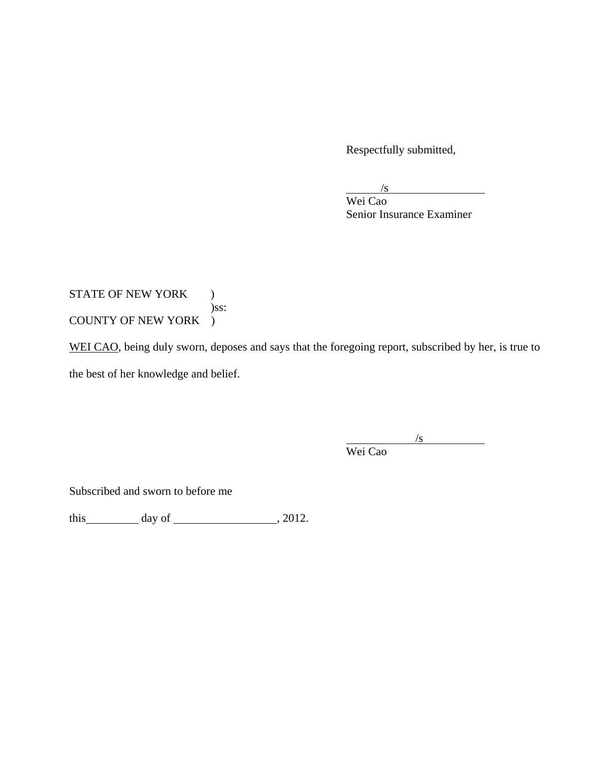Respectfully submitted,

 $/$ s

 Wei Cao Senior Insurance Examiner

STATE OF NEW YORK ) )ss: COUNTY OF NEW YORK )

WEI CAO, being duly sworn, deposes and says that the foregoing report, subscribed by her, is true to

the best of her knowledge and belief.

 $/$ s Wei Cao

Subscribed and sworn to before me

this  $\qquad \qquad$  day of  $\qquad \qquad$  , 2012.